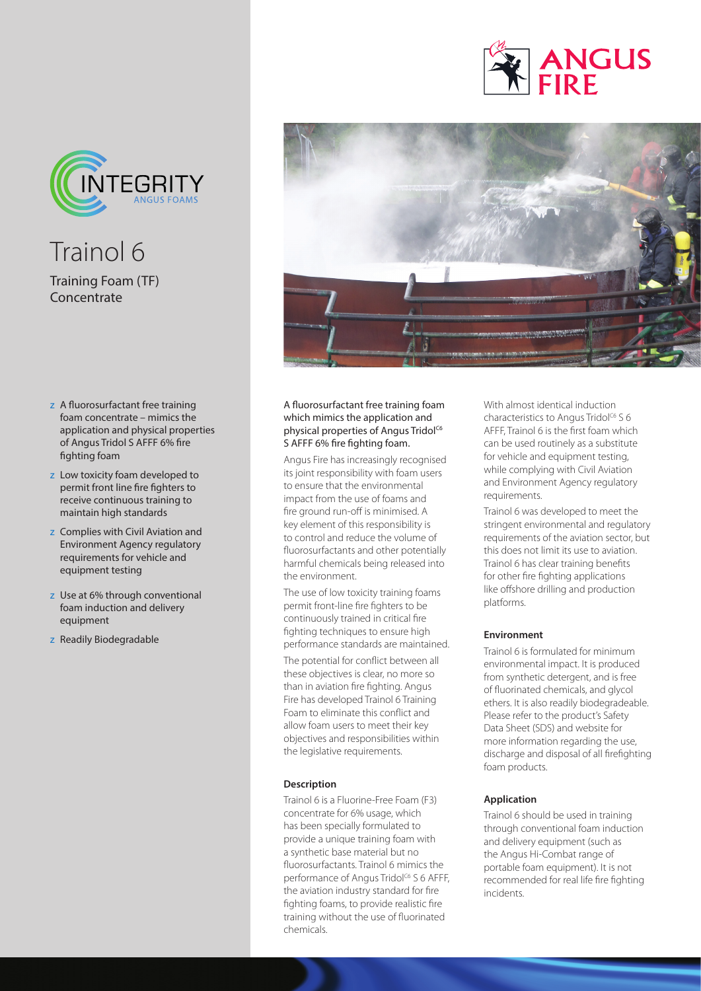

Trainol 6 Training Foam (TF) Concentrate

- z A fluorosurfactant free training foam concentrate – mimics the application and physical properties of Angus Tridol S AFFF 6% fire fighting foam
- z Low toxicity foam developed to permit front line fire fighters to receive continuous training to maintain high standards
- z Complies with Civil Aviation and Environment Agency regulatory requirements for vehicle and equipment testing
- z Use at 6% through conventional foam induction and delivery equipment
- z Readily Biodegradable





### A fluorosurfactant free training foam which mimics the application and physical properties of Angus Tridol<sup>C6</sup> S AFFF 6% fire fighting foam.

Angus Fire has increasingly recognised its joint responsibility with foam users to ensure that the environmental impact from the use of foams and fire ground run-off is minimised. A key element of this responsibility is to control and reduce the volume of fluorosurfactants and other potentially harmful chemicals being released into the environment.

The use of low toxicity training foams permit front-line fire fighters to be continuously trained in critical fire fighting techniques to ensure high performance standards are maintained.

The potential for conflict between all these objectives is clear, no more so than in aviation fire fighting. Angus Fire has developed Trainol 6 Training Foam to eliminate this conflict and allow foam users to meet their key objectives and responsibilities within the legislative requirements.

#### **Description**

Trainol 6 is a Fluorine-Free Foam (F3) concentrate for 6% usage, which has been specially formulated to provide a unique training foam with a synthetic base material but no fluorosurfactants. Trainol 6 mimics the performance of Angus Tridol<sup>c6</sup> S 6 AFFF, the aviation industry standard for fire fighting foams, to provide realistic fire training without the use of fluorinated chemicals.

With almost identical induction characteristics to Angus Tridol<sup>C6</sup> S 6 AFFF, Trainol 6 is the first foam which can be used routinely as a substitute for vehicle and equipment testing, while complying with Civil Aviation and Environment Agency regulatory requirements.

Trainol 6 was developed to meet the stringent environmental and regulatory requirements of the aviation sector, but this does not limit its use to aviation. Trainol 6 has clear training benefits for other fire fighting applications like offshore drilling and production platforms.

#### **Environment**

Trainol 6 is formulated for minimum environmental impact. It is produced from synthetic detergent, and is free of fluorinated chemicals, and glycol ethers. It is also readily biodegradeable. Please refer to the product's Safety Data Sheet (SDS) and website for more information regarding the use, discharge and disposal of all firefighting foam products.

#### **Application**

Trainol 6 should be used in training through conventional foam induction and delivery equipment (such as the Angus Hi-Combat range of portable foam equipment). It is not recommended for real life fire fighting incidents.